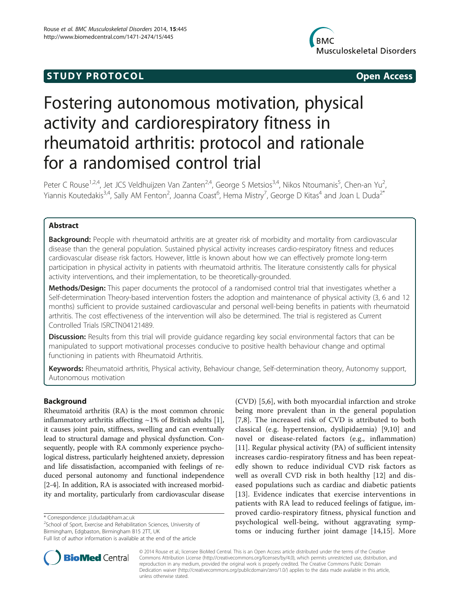## **STUDY PROTOCOL CONSUMING THE CONSUMING OPEN ACCESS**



# Fostering autonomous motivation, physical activity and cardiorespiratory fitness in rheumatoid arthritis: protocol and rationale for a randomised control trial

Peter C Rouse<sup>1,2,4</sup>, Jet JCS Veldhuijzen Van Zanten<sup>2,4</sup>, George S Metsios<sup>3,4</sup>, Nikos Ntoumanis<sup>5</sup>, Chen-an Yu<sup>2</sup> , Yiannis Koutedakis<sup>3,4</sup>, Sally AM Fenton<sup>2</sup>, Joanna Coast<sup>6</sup>, Hema Mistry<sup>7</sup>, George D Kitas<sup>4</sup> and Joan L Duda<sup>2\*</sup>

### Abstract

Background: People with rheumatoid arthritis are at greater risk of morbidity and mortality from cardiovascular disease than the general population. Sustained physical activity increases cardio-respiratory fitness and reduces cardiovascular disease risk factors. However, little is known about how we can effectively promote long-term participation in physical activity in patients with rheumatoid arthritis. The literature consistently calls for physical activity interventions, and their implementation, to be theoretically-grounded.

Methods/Design: This paper documents the protocol of a randomised control trial that investigates whether a Self-determination Theory-based intervention fosters the adoption and maintenance of physical activity (3, 6 and 12 months) sufficient to provide sustained cardiovascular and personal well-being benefits in patients with rheumatoid arthritis. The cost effectiveness of the intervention will also be determined. The trial is registered as Current Controlled Trials ISRCTN04121489.

Discussion: Results from this trial will provide quidance regarding key social environmental factors that can be manipulated to support motivational processes conducive to positive health behaviour change and optimal functioning in patients with Rheumatoid Arthritis.

Keywords: Rheumatoid arthritis, Physical activity, Behaviour change, Self-determination theory, Autonomy support, Autonomous motivation

#### Background

Rheumatoid arthritis (RA) is the most common chronic inflammatory arthritis affecting  $~1\%$  of British adults [\[1](#page-7-0)], it causes joint pain, stiffness, swelling and can eventually lead to structural damage and physical dysfunction. Consequently, people with RA commonly experience psychological distress, particularly heightened anxiety, depression and life dissatisfaction, accompanied with feelings of reduced personal autonomy and functional independence [[2-4\]](#page-7-0). In addition, RA is associated with increased morbidity and mortality, particularly from cardiovascular disease

\* Correspondence: [j.l.duda@bham.ac.uk](mailto:j.l.duda@bham.ac.uk) <sup>2</sup>

<sup>2</sup>School of Sport, Exercise and Rehabilitation Sciences, University of Birmingham, Edgbaston, Birmingham B15 2TT, UK

Full list of author information is available at the end of the article



**BioMed** Central

© 2014 Rouse et al.; licensee BioMed Central. This is an Open Access article distributed under the terms of the Creative Commons Attribution License [\(http://creativecommons.org/licenses/by/4.0\)](http://creativecommons.org/licenses/by/4.0), which permits unrestricted use, distribution, and reproduction in any medium, provided the original work is properly credited. The Creative Commons Public Domain Dedication waiver [\(http://creativecommons.org/publicdomain/zero/1.0/](http://creativecommons.org/publicdomain/zero/1.0/)) applies to the data made available in this article, unless otherwise stated.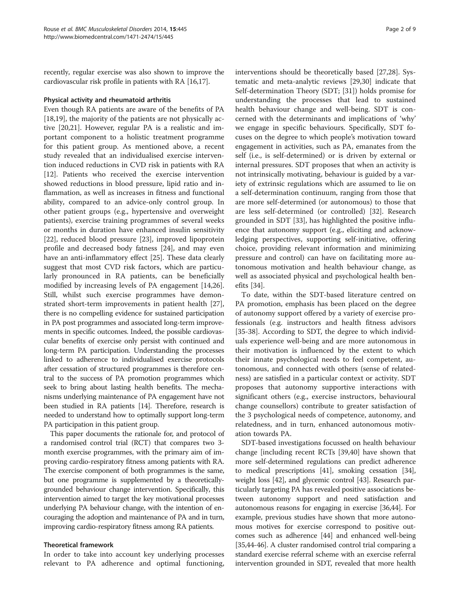recently, regular exercise was also shown to improve the cardiovascular risk profile in patients with RA [\[16,17\]](#page-7-0).

#### Physical activity and rheumatoid arthritis

Even though RA patients are aware of the benefits of PA [[18,19\]](#page-7-0), the majority of the patients are not physically active [[20,21\]](#page-7-0). However, regular PA is a realistic and important component to a holistic treatment programme for this patient group. As mentioned above, a recent study revealed that an individualised exercise intervention induced reductions in CVD risk in patients with RA [[12\]](#page-7-0). Patients who received the exercise intervention showed reductions in blood pressure, lipid ratio and inflammation, as well as increases in fitness and functional ability, compared to an advice-only control group. In other patient groups (e.g., hypertensive and overweight patients), exercise training programmes of several weeks or months in duration have enhanced insulin sensitivity [[22\]](#page-7-0), reduced blood pressure [[23\]](#page-7-0), improved lipoprotein profile and decreased body fatness [\[24](#page-7-0)], and may even have an anti-inflammatory effect [[25](#page-7-0)]. These data clearly suggest that most CVD risk factors, which are particularly pronounced in RA patients, can be beneficially modified by increasing levels of PA engagement [\[14,26](#page-7-0)]. Still, whilst such exercise programmes have demonstrated short-term improvements in patient health [\[27](#page-7-0)], there is no compelling evidence for sustained participation in PA post programmes and associated long-term improvements in specific outcomes. Indeed, the possible cardiovascular benefits of exercise only persist with continued and long-term PA participation. Understanding the processes linked to adherence to individualised exercise protocols after cessation of structured programmes is therefore central to the success of PA promotion programmes which seek to bring about lasting health benefits. The mechanisms underlying maintenance of PA engagement have not been studied in RA patients [\[14\]](#page-7-0). Therefore, research is needed to understand how to optimally support long-term PA participation in this patient group.

This paper documents the rationale for, and protocol of a randomised control trial (RCT) that compares two 3 month exercise programmes, with the primary aim of improving cardio-respiratory fitness among patients with RA. The exercise component of both programmes is the same, but one programme is supplemented by a theoreticallygrounded behaviour change intervention. Specifically, this intervention aimed to target the key motivational processes underlying PA behaviour change, with the intention of encouraging the adoption and maintenance of PA and in turn, improving cardio-respiratory fitness among RA patients.

#### Theoretical framework

In order to take into account key underlying processes relevant to PA adherence and optimal functioning,

interventions should be theoretically based [[27,28\]](#page-7-0). Systematic and meta-analytic reviews [\[29,30](#page-7-0)] indicate that Self-determination Theory (SDT; [[31](#page-7-0)]) holds promise for understanding the processes that lead to sustained health behaviour change and well-being. SDT is concerned with the determinants and implications of 'why' we engage in specific behaviours. Specifically, SDT focuses on the degree to which people's motivation toward engagement in activities, such as PA, emanates from the self (i.e., is self-determined) or is driven by external or internal pressures. SDT proposes that when an activity is not intrinsically motivating, behaviour is guided by a variety of extrinsic regulations which are assumed to lie on a self-determination continuum, ranging from those that are more self-determined (or autonomous) to those that are less self-determined (or controlled) [[32\]](#page-7-0). Research grounded in SDT [[33](#page-7-0)], has highlighted the positive influence that autonomy support (e.g., eliciting and acknowledging perspectives, supporting self-initiative, offering choice, providing relevant information and minimizing pressure and control) can have on facilitating more autonomous motivation and health behaviour change, as well as associated physical and psychological health benefits [[34\]](#page-7-0).

To date, within the SDT-based literature centred on PA promotion, emphasis has been placed on the degree of autonomy support offered by a variety of exercise professionals (e.g. instructors and health fitness advisors [[35-](#page-7-0)[38](#page-8-0)]. According to SDT, the degree to which individuals experience well-being and are more autonomous in their motivation is influenced by the extent to which their innate psychological needs to feel competent, autonomous, and connected with others (sense of relatedness) are satisfied in a particular context or activity. SDT proposes that autonomy supportive interactions with significant others (e.g., exercise instructors, behavioural change counsellors) contribute to greater satisfaction of the 3 psychological needs of competence, autonomy, and relatedness, and in turn, enhanced autonomous motivation towards PA.

SDT-based investigations focussed on health behaviour change [including recent RCTs [\[39,40\]](#page-8-0) have shown that more self-determined regulations can predict adherence to medical prescriptions [\[41\]](#page-8-0), smoking cessation [[34](#page-7-0)], weight loss [[42](#page-8-0)], and glycemic control [\[43\]](#page-8-0). Research particularly targeting PA has revealed positive associations between autonomy support and need satisfaction and autonomous reasons for engaging in exercise [\[36,](#page-7-0)[44](#page-8-0)]. For example, previous studies have shown that more autonomous motives for exercise correspond to positive outcomes such as adherence [\[44\]](#page-8-0) and enhanced well-being [[35](#page-7-0)[,44](#page-8-0)-[46](#page-8-0)]. A cluster randomised control trial comparing a standard exercise referral scheme with an exercise referral intervention grounded in SDT, revealed that more health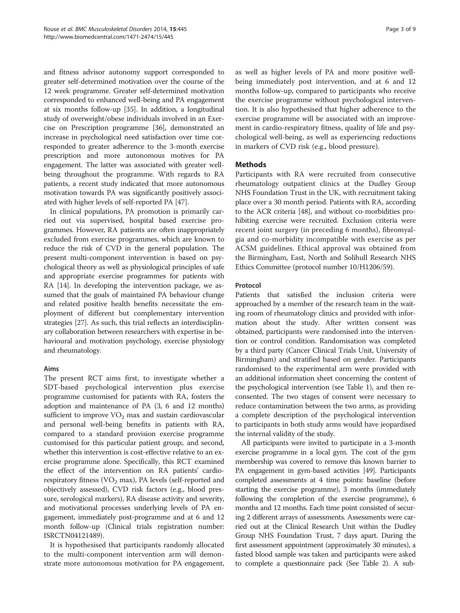and fitness advisor autonomy support corresponded to greater self-determined motivation over the course of the 12 week programme. Greater self-determined motivation corresponded to enhanced well-being and PA engagement at six months follow-up [[35](#page-7-0)]. In addition, a longitudinal study of overweight/obese individuals involved in an Exercise on Prescription programme [[36](#page-7-0)], demonstrated an increase in psychological need satisfaction over time corresponded to greater adherence to the 3-month exercise prescription and more autonomous motives for PA engagement. The latter was associated with greater wellbeing throughout the programme. With regards to RA patients, a recent study indicated that more autonomous motivation towards PA was significantly positively associated with higher levels of self-reported PA [[47\]](#page-8-0).

In clinical populations, PA promotion is primarily carried out via supervised, hospital based exercise programmes. However, RA patients are often inappropriately excluded from exercise programmes, which are known to reduce the risk of CVD in the general population. The present multi-component intervention is based on psychological theory as well as physiological principles of safe and appropriate exercise programmes for patients with RA [\[14\]](#page-7-0). In developing the intervention package, we assumed that the goals of maintained PA behaviour change and related positive health benefits necessitate the employment of different but complementary intervention strategies [[27](#page-7-0)]. As such, this trial reflects an interdisciplinary collaboration between researchers with expertise in behavioural and motivation psychology, exercise physiology and rheumatology.

#### Aims

The present RCT aims first, to investigate whether a SDT-based psychological intervention plus exercise programme customised for patients with RA, fosters the adoption and maintenance of PA (3, 6 and 12 months) sufficient to improve  $VO<sub>2</sub>$  max and sustain cardiovascular and personal well-being benefits in patients with RA, compared to a standard provision exercise programme customised for this particular patient group;. and second, whether this intervention is cost-effective relative to an exercise programme alone. Specifically, this RCT examined the effect of the intervention on RA patients' cardiorespiratory fitness ( $VO<sub>2</sub>$  max), PA levels (self-reported and objectively assessed), CVD risk factors (e.g., blood pressure, serological markers), RA disease activity and severity, and motivational processes underlying levels of PA engagement, immediately post-programme and at 6 and 12 month follow-up (Clinical trials registration number: ISRCTN04121489).

It is hypothesised that participants randomly allocated to the multi-component intervention arm will demonstrate more autonomous motivation for PA engagement, as well as higher levels of PA and more positive wellbeing immediately post intervention, and at 6 and 12 months follow-up, compared to participants who receive the exercise programme without psychological intervention. It is also hypothesised that higher adherence to the exercise programme will be associated with an improvement in cardio-respiratory fitness, quality of life and psychological well-being, as well as experiencing reductions in markers of CVD risk (e.g., blood pressure).

### Methods

Participants with RA were recruited from consecutive rheumatology outpatient clinics at the Dudley Group NHS Foundation Trust in the UK, with recruitment taking place over a 30 month period. Patients with RA, according to the ACR criteria [\[48](#page-8-0)], and without co-morbidities prohibiting exercise were recruited. Exclusion criteria were recent joint surgery (in preceding 6 months), fibromyalgia and co-morbidity incompatible with exercise as per ACSM guidelines. Ethical approval was obtained from the Birmingham, East, North and Solihull Research NHS Ethics Committee (protocol number 10/H1206/59).

#### Protocol

Patients that satisfied the inclusion criteria were approached by a member of the research team in the waiting room of rheumatology clinics and provided with information about the study. After written consent was obtained, participants were randomised into the intervention or control condition. Randomisation was completed by a third party (Cancer Clinical Trials Unit, University of Birmingham) and stratified based on gender. Participants randomised to the experimental arm were provided with an additional information sheet concerning the content of the psychological intervention (see Table [1\)](#page-3-0), and then reconsented. The two stages of consent were necessary to reduce contamination between the two arms, as providing a complete description of the psychological intervention to participants in both study arms would have jeopardised the internal validity of the study.

All participants were invited to participate in a 3-month exercise programme in a local gym. The cost of the gym membership was covered to remove this known barrier to PA engagement in gym-based activities [\[49\]](#page-8-0). Participants completed assessments at 4 time points: baseline (before starting the exercise programme), 3 months (immediately following the completion of the exercise programme), 6 months and 12 months. Each time point consisted of securing 2 different arrays of assessments. Assessments were carried out at the Clinical Research Unit within the Dudley Group NHS Foundation Trust, 7 days apart. During the first assessment appointment (approximately 30 minutes), a fasted blood sample was taken and participants were asked to complete a questionnaire pack (See Table [2\)](#page-4-0). A sub-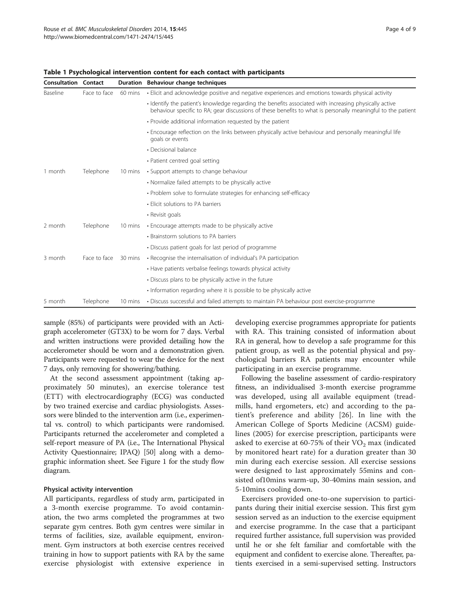| <b>Consultation Contact</b> |              |         | Duration Behaviour change techniques                                                                                                                                                                                   |  |
|-----------------------------|--------------|---------|------------------------------------------------------------------------------------------------------------------------------------------------------------------------------------------------------------------------|--|
| Baseline                    | Face to face | 60 mins | · Elicit and acknowledge positive and negative experiences and emotions towards physical activity                                                                                                                      |  |
|                             |              |         | • Identify the patient's knowledge regarding the benefits associated with increasing physically active<br>behaviour specific to RA; gear discussions of these benefits to what is personally meaningful to the patient |  |
|                             |              |         | • Provide additional information requested by the patient                                                                                                                                                              |  |
|                             |              |         | . Encourage reflection on the links between physically active behaviour and personally meaningful life<br>goals or events                                                                                              |  |
|                             |              |         | • Decisional balance                                                                                                                                                                                                   |  |
|                             |              |         | • Patient centred goal setting                                                                                                                                                                                         |  |
| 1 month                     | Telephone    | 10 mins | • Support attempts to change behaviour                                                                                                                                                                                 |  |
|                             |              |         | • Normalize failed attempts to be physically active                                                                                                                                                                    |  |
|                             |              |         | • Problem solve to formulate strategies for enhancing self-efficacy                                                                                                                                                    |  |
|                             |              |         | • Elicit solutions to PA barriers                                                                                                                                                                                      |  |
|                             |              |         | • Revisit goals                                                                                                                                                                                                        |  |
| 2 month                     | Telephone    | 10 mins | • Encourage attempts made to be physically active                                                                                                                                                                      |  |
|                             |              |         | • Brainstorm solutions to PA barriers                                                                                                                                                                                  |  |
|                             |              |         | • Discuss patient goals for last period of programme                                                                                                                                                                   |  |
| 3 month                     | Face to face | 30 mins | • Recognise the internalisation of individual's PA participation                                                                                                                                                       |  |
|                             |              |         | • Have patients verbalise feelings towards physical activity                                                                                                                                                           |  |
|                             |              |         | • Discuss plans to be physically active in the future                                                                                                                                                                  |  |
|                             |              |         | . Information regarding where it is possible to be physically active                                                                                                                                                   |  |
| 5 month                     | Telephone    | 10 mins | • Discuss successful and failed attempts to maintain PA behaviour post exercise-programme                                                                                                                              |  |

#### <span id="page-3-0"></span>Table 1 Psychological intervention content for each contact with participants

sample (85%) of participants were provided with an Actigraph accelerometer (GT3X) to be worn for 7 days. Verbal and written instructions were provided detailing how the accelerometer should be worn and a demonstration given. Participants were requested to wear the device for the next 7 days, only removing for showering/bathing.

At the second assessment appointment (taking approximately 50 minutes), an exercise tolerance test (ETT) with electrocardiography (ECG) was conducted by two trained exercise and cardiac physiologists. Assessors were blinded to the intervention arm (i.e., experimental vs. control) to which participants were randomised. Participants returned the accelerometer and completed a self-report measure of PA (i.e., The International Physical Activity Questionnaire; IPAQ) [\[50\]](#page-8-0) along with a demographic information sheet. See Figure [1](#page-4-0) for the study flow diagram.

#### Physical activity intervention

All participants, regardless of study arm, participated in a 3-month exercise programme. To avoid contamination, the two arms completed the programmes at two separate gym centres. Both gym centres were similar in terms of facilities, size, available equipment, environment. Gym instructors at both exercise centres received training in how to support patients with RA by the same exercise physiologist with extensive experience in developing exercise programmes appropriate for patients with RA. This training consisted of information about RA in general, how to develop a safe programme for this patient group, as well as the potential physical and psychological barriers RA patients may encounter while participating in an exercise programme.

Following the baseline assessment of cardio-respiratory fitness, an individualised 3-month exercise programme was developed, using all available equipment (treadmills, hand ergometers, etc) and according to the patient's preference and ability [\[26](#page-7-0)]. In line with the American College of Sports Medicine (ACSM) guidelines (2005) for exercise prescription, participants were asked to exercise at 60-75% of their  $VO<sub>2</sub>$  max (indicated by monitored heart rate) for a duration greater than 30 min during each exercise session. All exercise sessions were designed to last approximately 55mins and consisted of10mins warm-up, 30-40mins main session, and 5-10mins cooling down.

Exercisers provided one-to-one supervision to participants during their initial exercise session. This first gym session served as an induction to the exercise equipment and exercise programme. In the case that a participant required further assistance, full supervision was provided until he or she felt familiar and comfortable with the equipment and confident to exercise alone. Thereafter, patients exercised in a semi-supervised setting. Instructors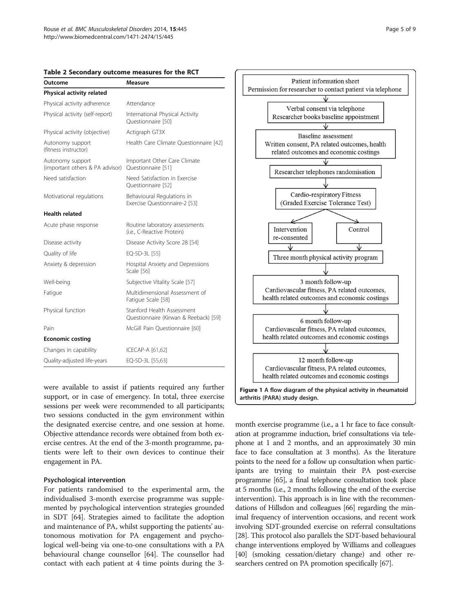<span id="page-4-0"></span>

|  |  | Table 2 Secondary outcome measures for the RCT |  |  |  |  |  |
|--|--|------------------------------------------------|--|--|--|--|--|
|--|--|------------------------------------------------|--|--|--|--|--|

| Outcome                                             | <b>Measure</b>                                                      |  |  |  |  |
|-----------------------------------------------------|---------------------------------------------------------------------|--|--|--|--|
| Physical activity related                           |                                                                     |  |  |  |  |
| Physical activity adherence                         | Attendance                                                          |  |  |  |  |
| Physical activity (self-report)                     | International Physical Activity<br>Questionnaire [50]               |  |  |  |  |
| Physical activity (objective)                       | Actigraph GT3X                                                      |  |  |  |  |
| Autonomy support<br>(fitness instructor)            | Health Care Climate Questionnaire [42]                              |  |  |  |  |
| Autonomy support<br>(important others & PA advisor) | Important Other Care Climate<br>Questionnaire [51]                  |  |  |  |  |
| Need satisfaction                                   | Need Satisfaction in Exercise<br>Questionnaire [52]                 |  |  |  |  |
| Motivational regulations                            | Behavioural Regulations in<br>Exercise Ouestionnaire-2 [53]         |  |  |  |  |
| <b>Health related</b>                               |                                                                     |  |  |  |  |
| Acute phase response                                | Routine laboratory assessments<br>(i.e., C-Reactive Protein)        |  |  |  |  |
| Disease activity                                    | Disease Activity Score 28 [54]                                      |  |  |  |  |
| Quality of life                                     | EQ-5D-3L [55]                                                       |  |  |  |  |
| Anxiety & depression                                | Hospital Anxiety and Depressions<br>Scale [56]                      |  |  |  |  |
| Well-being                                          | Subjective Vitality Scale [57]                                      |  |  |  |  |
| Fatigue                                             | Multidimensional Assessment of<br>Fatique Scale [58]                |  |  |  |  |
| Physical function                                   | Stanford Health Assessment<br>Questionnaire (Kirwan & Reeback) [59] |  |  |  |  |
| Pain                                                | McGill Pain Questionnaire [60]                                      |  |  |  |  |
| <b>Economic costing</b>                             |                                                                     |  |  |  |  |
| Changes in capability                               | ICECAP-A [61,62]                                                    |  |  |  |  |
| Quality-adjusted life-years                         | EQ-5D-3L [55,63]                                                    |  |  |  |  |

were available to assist if patients required any further support, or in case of emergency. In total, three exercise sessions per week were recommended to all participants; two sessions conducted in the gym environment within the designated exercise centre, and one session at home. Objective attendance records were obtained from both exercise centres. At the end of the 3-month programme, patients were left to their own devices to continue their engagement in PA.

#### Psychological intervention

For patients randomised to the experimental arm, the individualised 3-month exercise programme was supplemented by psychological intervention strategies grounded in SDT [\[64\]](#page-8-0). Strategies aimed to facilitate the adoption and maintenance of PA, whilst supporting the patients' autonomous motivation for PA engagement and psychological well-being via one-to-one consultations with a PA behavioural change counsellor [[64](#page-8-0)]. The counsellor had contact with each patient at 4 time points during the 3-



month exercise programme (i.e., a 1 hr face to face consultation at programme induction, brief consultations via telephone at 1 and 2 months, and an approximately 30 min face to face consultation at 3 months). As the literature points to the need for a follow up consultation when participants are trying to maintain their PA post-exercise programme [\[65\]](#page-8-0), a final telephone consultation took place at 5 months (i.e., 2 months following the end of the exercise intervention). This approach is in line with the recommendations of Hillsdon and colleagues [[66](#page-8-0)] regarding the minimal frequency of intervention occasions, and recent work involving SDT-grounded exercise on referral consultations [[28](#page-7-0)]. This protocol also parallels the SDT-based behavioural change interventions employed by Williams and colleagues [[40](#page-8-0)] (smoking cessation/dietary change) and other researchers centred on PA promotion specifically [[67\]](#page-8-0).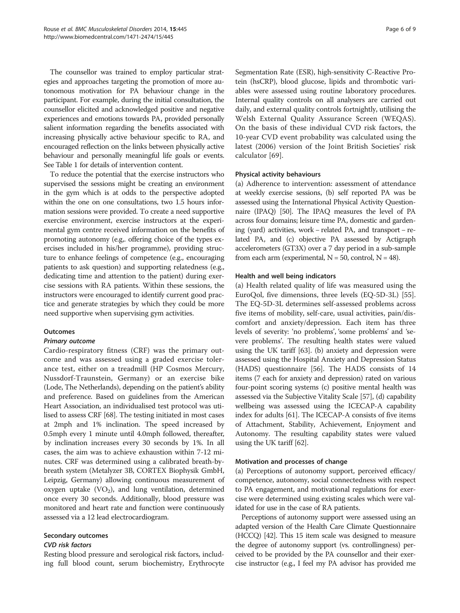The counsellor was trained to employ particular strategies and approaches targeting the promotion of more autonomous motivation for PA behaviour change in the participant. For example, during the initial consultation, the counsellor elicited and acknowledged positive and negative experiences and emotions towards PA, provided personally salient information regarding the benefits associated with increasing physically active behaviour specific to RA, and encouraged reflection on the links between physically active behaviour and personally meaningful life goals or events. See Table [1](#page-3-0) for details of intervention content.

To reduce the potential that the exercise instructors who supervised the sessions might be creating an environment in the gym which is at odds to the perspective adopted within the one on one consultations, two 1.5 hours information sessions were provided. To create a need supportive exercise environment, exercise instructors at the experimental gym centre received information on the benefits of promoting autonomy (e.g,. offering choice of the types exercises included in his/her programme), providing structure to enhance feelings of competence (e.g., encouraging patients to ask question) and supporting relatedness (e.g., dedicating time and attention to the patient) during exercise sessions with RA patients. Within these sessions, the instructors were encouraged to identify current good practice and generate strategies by which they could be more need supportive when supervising gym activities.

#### **Outcomes**

#### Primary outcome

Cardio-respiratory fitness (CRF) was the primary outcome and was assessed using a graded exercise tolerance test, either on a treadmill (HP Cosmos Mercury, Nussdorf-Traunstein, Germany) or an exercise bike (Lode, The Netherlands), depending on the patient's ability and preference. Based on guidelines from the American Heart Association, an individualised test protocol was utilised to assess CRF [\[68\]](#page-8-0). The testing initiated in most cases at 2mph and 1% inclination. The speed increased by 0.5mph every 1 minute until 4.0mph followed, thereafter, by inclination increases every 30 seconds by 1%. In all cases, the aim was to achieve exhaustion within 7-12 minutes. CRF was determined using a calibrated breath-bybreath system (Metalyzer 3B, CORTEX Biophysik GmbH, Leipzig, Germany) allowing continuous measurement of oxygen uptake  $(VO_2)$ , and lung ventilation, determined once every 30 seconds. Additionally, blood pressure was monitored and heart rate and function were continuously assessed via a 12 lead electrocardiogram.

#### Secondary outcomes

#### CVD risk factors

Resting blood pressure and serological risk factors, including full blood count, serum biochemistry, Erythrocyte

Segmentation Rate (ESR), high-sensitivity C-Reactive Protein (hsCRP), blood glucose, lipids and thrombotic variables were assessed using routine laboratory procedures. Internal quality controls on all analysers are carried out daily, and external quality controls fortnightly, utilising the Welsh External Quality Assurance Screen (WEQAS). On the basis of these individual CVD risk factors, the 10-year CVD event probability was calculated using the latest (2006) version of the Joint British Societies' risk calculator [[69\]](#page-8-0).

#### Physical activity behaviours

(a) Adherence to intervention: assessment of attendance at weekly exercise sessions, (b) self reported PA was be assessed using the International Physical Activity Questionnaire (IPAQ) [\[50\]](#page-8-0). The IPAQ measures the level of PA across four domains; leisure time PA, domestic and gardening (yard) activities, work − related PA, and transport − related PA, and (c) objective PA assessed by Actigraph accelerometers (GT3X) over a 7 day period in a sub-sample from each arm (experimental,  $N = 50$ , control,  $N = 48$ ).

#### Health and well being indicators

(a) Health related quality of life was measured using the EuroQol, five dimensions, three levels (EQ-5D-3L) [\[55](#page-8-0)]. The EQ-5D-3L determines self-assessed problems across five items of mobility, self-care, usual activities, pain/discomfort and anxiety/depression. Each item has three levels of severity: 'no problems', 'some problems' and 'severe problems'. The resulting health states were valued using the UK tariff [\[63\]](#page-8-0). (b) anxiety and depression were assessed using the Hospital Anxiety and Depression Status (HADS) questionnaire [\[56](#page-8-0)]. The HADS consists of 14 items (7 each for anxiety and depression) rated on various four-point scoring systems (c) positive mental health was assessed via the Subjective Vitality Scale [\[57](#page-8-0)], (d) capability wellbeing was assessed using the ICECAP-A capability index for adults [\[61\]](#page-8-0). The ICECAP-A consists of five items of Attachment, Stability, Achievement, Enjoyment and Autonomy. The resulting capability states were valued using the UK tariff [[62](#page-8-0)].

#### Motivation and processes of change

(a) Perceptions of autonomy support, perceived efficacy/ competence, autonomy, social connectedness with respect to PA engagement, and motivational regulations for exercise were determined using existing scales which were validated for use in the case of RA patients.

Perceptions of autonomy support were assessed using an adapted version of the Health Care Climate Questionnaire (HCCQ) [[42](#page-8-0)]. This 15 item scale was designed to measure the degree of autonomy support (vs. controllingness) perceived to be provided by the PA counsellor and their exercise instructor (e.g., I feel my PA advisor has provided me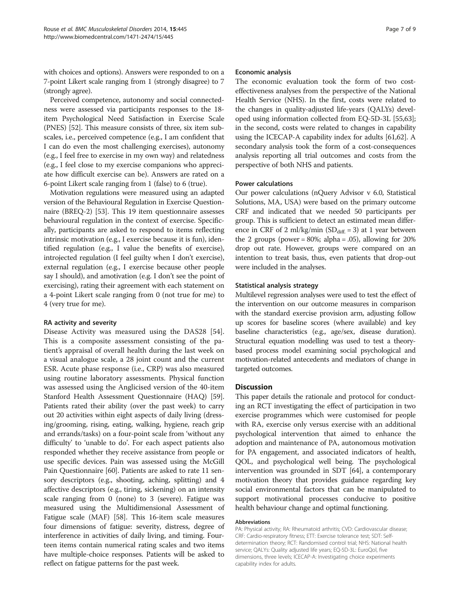with choices and options). Answers were responded to on a 7-point Likert scale ranging from 1 (strongly disagree) to 7 (strongly agree).

Perceived competence, autonomy and social connectedness were assessed via participants responses to the 18 item Psychological Need Satisfaction in Exercise Scale (PNES) [\[52\]](#page-8-0). This measure consists of three, six item subscales, i.e., perceived competence (e.g., I am confident that I can do even the most challenging exercises), autonomy (e.g., I feel free to exercise in my own way) and relatedness (e.g., I feel close to my exercise companions who appreciate how difficult exercise can be). Answers are rated on a 6-point Likert scale ranging from 1 (false) to 6 (true).

Motivation regulations were measured using an adapted version of the Behavioural Regulation in Exercise Questionnaire (BREQ-2) [\[53\]](#page-8-0). This 19 item questionnaire assesses behavioural regulation in the context of exercise. Specifically, participants are asked to respond to items reflecting intrinsic motivation (e.g., I exercise because it is fun), identified regulation (e.g., I value the benefits of exercise), introjected regulation (I feel guilty when I don't exercise), external regulation (e.g., I exercise because other people say I should), and amotivation (e.g. I don't see the point of exercising), rating their agreement with each statement on a 4-point Likert scale ranging from 0 (not true for me) to 4 (very true for me).

#### RA activity and severity

Disease Activity was measured using the DAS28 [\[54](#page-8-0)]. This is a composite assessment consisting of the patient's appraisal of overall health during the last week on a visual analogue scale, a 28 joint count and the current ESR. Acute phase response (i.e., CRP) was also measured using routine laboratory assessments. Physical function was assessed using the Anglicised version of the 40-item Stanford Health Assessment Questionnaire (HAQ) [[59](#page-8-0)]. Patients rated their ability (over the past week) to carry out 20 activities within eight aspects of daily living (dressing/grooming, rising, eating, walking, hygiene, reach grip and errands/tasks) on a four-point scale from 'without any difficulty' to 'unable to do'. For each aspect patients also responded whether they receive assistance from people or use specific devices. Pain was assessed using the McGill Pain Questionnaire [[60](#page-8-0)]. Patients are asked to rate 11 sensory descriptors (e.g., shooting, aching, splitting) and 4 affective descriptors (e.g., tiring, sickening) on an intensity scale ranging from 0 (none) to 3 (severe). Fatigue was measured using the Multidimensional Assessment of Fatigue scale (MAF) [\[58\]](#page-8-0). This 16-item scale measures four dimensions of fatigue: severity, distress, degree of interference in activities of daily living, and timing. Fourteen items contain numerical rating scales and two items have multiple-choice responses. Patients will be asked to reflect on fatigue patterns for the past week.

#### Economic analysis

The economic evaluation took the form of two costeffectiveness analyses from the perspective of the National Health Service (NHS). In the first, costs were related to the changes in quality-adjusted life-years (QALYs) developed using information collected from EQ-5D-3L [\[55,63](#page-8-0)]; in the second, costs were related to changes in capability using the ICECAP-A capability index for adults [\[61,62](#page-8-0)]. A secondary analysis took the form of a cost-consequences analysis reporting all trial outcomes and costs from the perspective of both NHS and patients.

#### Power calculations

Our power calculations (nQuery Advisor v 6.0, Statistical Solutions, MA, USA) were based on the primary outcome CRF and indicated that we needed 50 participants per group. This is sufficient to detect an estimated mean difference in CRF of 2 ml/kg/min (SD $_{diff}$  = 3) at 1 year between the 2 groups (power =  $80\%$ ; alpha =  $.05$ ), allowing for  $20\%$ drop out rate. However, groups were compared on an intention to treat basis, thus, even patients that drop-out were included in the analyses.

#### Statistical analysis strategy

Multilevel regression analyses were used to test the effect of the intervention on our outcome measures in comparison with the standard exercise provision arm, adjusting follow up scores for baseline scores (where available) and key baseline characteristics (e.g., age/sex, disease duration). Structural equation modelling was used to test a theorybased process model examining social psychological and motivation-related antecedents and mediators of change in targeted outcomes.

#### **Discussion**

This paper details the rationale and protocol for conducting an RCT investigating the effect of participation in two exercise programmes which were customised for people with RA, exercise only versus exercise with an additional psychological intervention that aimed to enhance the adoption and maintenance of PA, autonomous motivation for PA engagement, and associated indicators of health, QOL, and psychological well being. The psychological intervention was grounded in SDT [[64](#page-8-0)], a contemporary motivation theory that provides guidance regarding key social environmental factors that can be manipulated to support motivational processes conducive to positive health behaviour change and optimal functioning.

#### Abbreviations

PA: Physical activity; RA: Rheumatoid arthritis; CVD: Cardiovascular disease; CRF: Cardio-respiratory fitness; ETT: Exercise tolerance test; SDT: Selfdetermination theory; RCT: Randomised control trial; NHS: National health service; QALYs: Quality adjusted life years; EQ-5D-3L: EuroQol, five dimensions, three levels; ICECAP-A: Investigating choice experiments capability index for adults.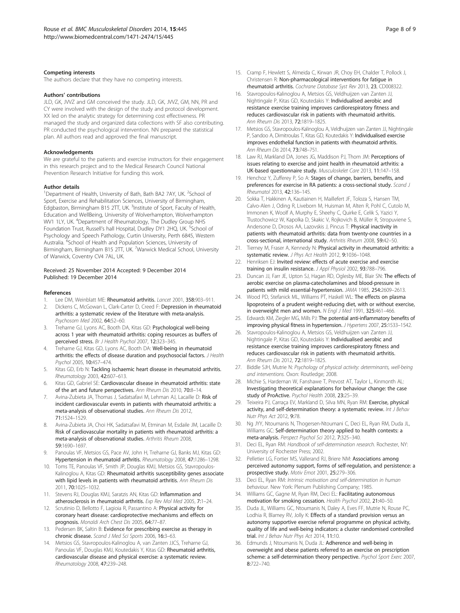#### <span id="page-7-0"></span>Competing interests

The authors declare that they have no competing interests.

#### Authors' contributions

JLD, GK, JWZ and GM conceived the study. JLD, GK, JWZ, GM, NN, PR and CY were involved with the design of the study and protocol development. XX led on the analytic strategy for determining cost effectiveness. PR managed the study and organized data collections with SF also contributing. PR conducted the psychological intervention. NN prepared the statistical plan. All authors read and approved the final manuscript.

#### Acknowledgements

We are grateful to the patients and exercise instructors for their engagement in this research project and to the Medical Research Council National Prevention Research Initiative for funding this work.

#### Author details

<sup>1</sup>Department of Health, University of Bath, Bath BA2 7AY, UK. <sup>2</sup>School of Sport, Exercise and Rehabilitation Sciences, University of Birmingham, Edgbaston, Birmingham B15 2TT, UK. <sup>3</sup>Institute of Sport, Faculty of Health, Education and WellBeing, University of Wolverhampton, Wolverhampton WV1 1LY, UK. <sup>4</sup>Department of Rheumatology, The Dudley Group NHS Foundation Trust, Russell's hall Hospital, Dudley DY1 2HQ, UK. <sup>5</sup>School of Psychology and Speech Pathology, Curtin University, Perth 6845, Western Australia. <sup>6</sup>School of Health and Population Sciences, University of Birmingham, Birmingham B15 2TT, UK. <sup>7</sup>Warwick Medical School, University of Warwick, Coventry CV4 7AL, UK.

#### Received: 25 November 2014 Accepted: 9 December 2014 Published: 19 December 2014

#### References

- 1. Lee DM, Weinblatt ME: Rheumatoid arthritis. Lancet 2001, 358:903-911.
- 2. Dickens C, McGowan L, Clark-Carter D, Creed F: Depression in rheumatoid arthritis: a systematic review of the literature with meta-analysis. Psychosom Med 2002, 64:52–60.
- 3. Treharne GJ, Lyons AC, Booth DA, Kitas GD: Psychological well-being across 1 year with rheumatoid arthritis: coping resources as buffers of perceived stress. Br J Health Psychol 2007, 12:323–345.
- Treharne GJ, Kitas GD, Lyons AC, Booth DA: Well-being in rheumatoid arthritis: the effects of disease duration and psychosocial factors. J Health Psychol 2005, 10:457–474.
- 5. Kitas GD, Erb N: Tackling ischaemic heart disease in rheumatoid arthritis. Rheumatology 2003, 42:607–613.
- 6. Kitas GD, Gabriel SE: Cardiovascular disease in rheumatoid arthritis: state of the art and future perspectives. Ann Rheum Dis 2010, 70:8–14.
- 7. Avina-Zubieta JA, Thomas J, Sadatsafavi M, Lehman AJ, Lacaille D: Risk of incident cardiovascular events in patients with rheumatoid arthritis: a meta-analysis of observational studies. Ann Rheum Dis 2012, 71:1524–1529.
- 8. Avina-Zubieta JA, Choi HK, Sadatsafavi M, Etminan M, Esdaile JM, Lacaille D: Risk of cardiovascular mortality in patients with rheumatoid arthritis: a meta-analysis of observational studies. Arthritis Rheum 2008, 59:1690–1697.
- Panoulas VF, Metsios GS, Pace AV, John H, Treharne GJ, Banks MJ, Kitas GD: Hypertension in rheumatoid arthritis. Rheumatology 2008, 47:1286–1298.
- 10. Toms TE, Panoulas VF, Smith JP, Douglas KMJ, Metsios GS, Stavropoulos-Kalinoglou A, Kitas GD: Rheumatoid arthritis susceptibility genes associate with lipid levels in patients with rheumatoid arthritis. Ann Rheum Dis 2011, 70:1025–1032.
- 11. Stevens RJ, Douglas KMJ, Saratzis AN, Kitas GD: Inflammation and atherosclerosis in rheumatoid arthritis. Exp Rev Mol Med 2005, 7:1–24.
- 12. Scrutinio D, Bellotto F, Lagioia R, Passantino A: Physical activity for coronary heart disease: cardioprotective mechanisms and effects on prognosis. Monaldi Arch Chest Dis 2005, 64:77–87.
- 13. Pedersen BK, Saltin B: Evidence for prescribing exercise as therapy in chronic disease. Scand J Med Sci Sports 2006, 16:3–63.
- 14. Metsios GS, Stavropoulos-Kalinoglou A, van Zanten JJCS, Treharne GJ, Panoulas VF, Douglas KMJ, Koutedakis Y, Kitas GD: Rheumatoid arthritis, cardiovascular disease and physical exercise: a systematic review. Rheumatology 2008, 47:239–248.
- 15. Cramp F, Hewlett S, Almeida C, Kirwan JR, Choy EH, Chalder T, Pollock J, Christensen R: Non-pharmacological interventions for fatigue in rheumatoid arthritis. Cochrane Database Syst Rev 2013, 23, CD008322.
- 16. Stavropoulos-Kalinoglou A, Metsios GS, Veldhuijzen van Zanten JJ, Nightingale P, Kitas GD, Koutedakis Y: Individualised aerobic and resistance exercise training improves cardiorespiratory fitness and reduces cardiovascular risk in patients with rheumatoid arthritis. Ann Rheum Dis 2013, 72:1819-1825.
- 17. Metsios GS, Stavropoulos-Kalinoglou A, Veldhuijzen van Zanten JJ, Nightingale P, Sandoo A, Dimitroulas T, Kitas GD, Koutedakis Y: Individualised exercise improves endothelial function in patients with rheumatoid arthritis. Ann Rheum Dis 2014, 73:748–751.
- 18. Law RJ, Markland DA, Jones JG, Maddison PJ, Thom JM: Perceptions of issues relating to exercise and joint health in rheumatoid arthritis: a UK-based questionnaire study. Musculoskelet Care 2013, 11:147–158.
- 19. Henchoz Y, Zufferey P, So A: Stages of change, barriers, benefits, and preferences for exercise in RA patients: a cross-sectional study. Scand J Rheumatol 2013, 42:136–145.
- 20. Sokka T, Hakkinen A, Kautiainen H, Maillefert JF, Toloza S, Hansen TM, Calvo-Alen J, Oding R, Liveborn M, Huisman M, Alten R, Pohl C, Cutolo M, Immonen K, Woolf A, Murphy E, Sheehy C, Quirke E, Celik S, Yazici Y, Tlustochowicz W, Kapolka D, Skakic V, Rojkovich B, Müller R, Stropuviene S, Andersone D, Drosos AA, Lazovskis J, Pincus T: Physical inactivity in patients with rheumatoid arthritis: data from twenty-one countries in a cross-sectional, international study. Arthritis Rheum 2008, 59:42–50.
- 21. Tierney M, Fraser A, Kennedy N: Physical activity in rheumatoid arthritis: a systematic review. J Phys Act Health 2012, 9:1036-1048.
- 22. Henriksen EJ: Invited review: effects of acute exercise and exercise training on insulin resistance. J Appl Physiol 2002, 93:788-796.
- 23. Duncan JJ, Farr JE, Upton SJ, Hagan RD, Oglesby ME, Blair SN: The effects of aerobic exercise on plasma-catecholamines and blood-pressure in patients with mild essential-hypertension. JAMA 1985, 254:2609–2613.
- 24. Wood PD, Stefanick ML, Williams PT, Haskell WL: The effects on plasma lipoproteins of a prudent weight-reducing diet, with or without exercise, in overweight men and women. N Engl J Med 1991, 325:461-466.
- 25. Edwards KM, Ziegler MG, Mills PJ: The potential anti-inflammatory benefits of improving physical fitness in hypertension. J Hypertens 2007, 25:1533–1542.
- 26. Stavropoulos-Kalinoglou A, Metsios GS, Veldhuijzen van Zanten JJ, Nightingale P, Kitas GD, Koutedakis Y: Individualised aerobic and resistance exercise training improves cardiorespiratory fitness and reduces cardiovascular risk in patients with rheumatoid arthritis. Ann Rheum Dis 2012, 72:1819–1825.
- 27. Biddle SJH, Mutrie N: Psychology of physical activity: determinants, well-being and interventions. Oxon: Routledge; 2008.
- 28. Michie S, Hardeman W, Fanshawe T, Prevost AT, Taylor L, Kinmonth AL: Investigating theoretical explanations for behaviour change: the case study of ProActive. Psychol Health 2008, 23:25–39.
- 29. Teixeira PJ, Carraça EV, Markland D, Silva MN, Ryan RM: Exercise, physical activity, and self-determination theory: a systematic review. Int J Behav Nutr Phys Act 2012, 9:78.
- 30. Ng JYY, Ntoumanis N, Thogersen-Ntoumani C, Deci EL, Ryan RM, Duda JL, Williams GC: Self-determination theory applied to health contexts: a meta-analysis. Perspect Psychol Sci 2012, 7:325–340.
- 31. Deci EL, Ryan RM: Handbook of self-determination research. Rochester, NY: University of Rochester Press; 2002.
- 32. Pelletier LG, Fortier MS, Vallerand RJ, Briere NM: Associations among perceived autonomy support, forms of self-regulation, and persistence: a prospective study. Motiv Emot 2001, 25:279–306.
- 33. Deci EL, Ryan RM: Intrinsic motivation and self-determination in human behaviour. New York: Plenum Publishing Company; 1985.
- 34. Williams GC, Gagne M, Ryan RM, Deci EL: Facilitating autonomous motivation for smoking cessation. Health Psychol 2002, 21:40–50.
- 35. Duda JL, Williams GC, Ntoumanis N, Daley A, Eves FF, Mutrie N, Rouse PC, Lodhia R, Blamey RV, Jolly K: Effects of a standard provision versus an autonomy supportive exercise referral programme on physical activity, quality of life and well-being indicators: a cluster randomised controlled trial. Int J Behav Nutr Phys Act 2014, 11:10.
- 36. Edmunds J, Ntoumanis N, Duda JL: Adherence and well-being in overweight and obese patients referred to an exercise on prescription scheme: a self-determination theory perspective. Psychol Sport Exerc 2007, 8:722–740.